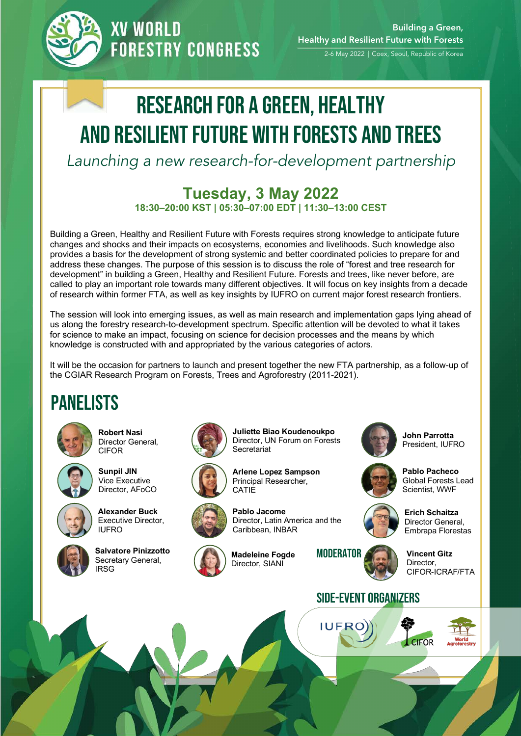

**XV WORLD FORESTRY CONGRESS** 

# Research for a green, healthy and resilient Future with forests and trees

*Launching a new research-for-development partnership*

### **Tuesday, 3 May 2022**

**18:30–20:00 KST | 05:30–07:00 EDT | 11:30–13:00 CEST**

Building a Green, Healthy and Resilient Future with Forests requires strong knowledge to anticipate future changes and shocks and their impacts on ecosystems, economies and livelihoods. Such knowledge also provides a basis for the development of strong systemic and better coordinated policies to prepare for and address these changes. The purpose of this session is to discuss the role of "forest and tree research for development" in building a Green, Healthy and Resilient Future. Forests and trees, like never before, are called to play an important role towards many different objectives. It will focus on key insights from a decade of research within former FTA, as well as key insights by IUFRO on current major forest research frontiers.

The session will look into emerging issues, as well as main research and implementation gaps lying ahead of us along the forestry research-to-development spectrum. Specific attention will be devoted to what it takes for science to make an impact, focusing on science for decision processes and the means by which knowledge is constructed with and appropriated by the various categories of actors.

It will be the occasion for partners to launch and present together the new FTA partnership, as a follow-up of the CGIAR Research Program on Forests, Trees and Agroforestry (2011-2021).

#### Panelists



**Robert Nasi**  Director General, CIFOR



**Sunpil JIN** Vice Executive Director, AFoCO



**Alexander Buck** Executive Director, IUFRO



Salvatore Pinizzotto Madeleine Fogde MODERATOR Secretary General, **IRSG** 





**Juliette Biao Koudenoukpo** Director, UN Forum on Forests **Secretariat** 



**Arlene Lopez Sampson** Principal Researcher,



**Madeleine Fogde** Director, SIANI



**John Parrotta** President, IUFRO



**Pablo Pacheco** Global Forests Lead Scientist, WWF



**Erich Schaitza**  Director General, Embrapa Florestas

**Vincent Gitz**  Director, CIFOR-ICRAF/FTA

**CIFOR** 



**IUFRO**